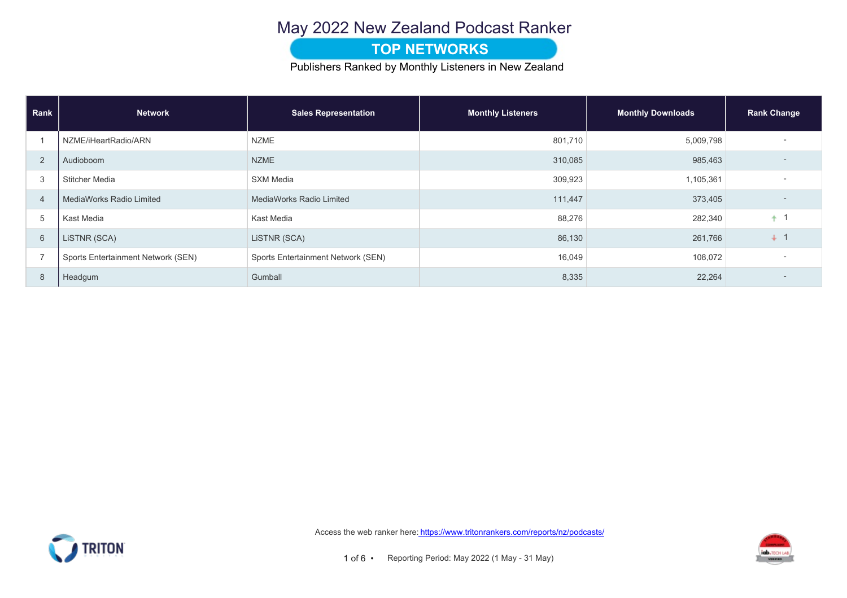## May 2022 New Zealand Podcast Ranker

### **TOP NETWORKS**

Publishers Ranked by Monthly Listeners in New Zealand

| Rank           | <b>Network</b>                     | <b>Sales Representation</b>        | <b>Monthly Listeners</b> | <b>Monthly Downloads</b> | <b>Rank Change</b> |  |
|----------------|------------------------------------|------------------------------------|--------------------------|--------------------------|--------------------|--|
|                | NZME/iHeartRadio/ARN               | <b>NZME</b>                        | 801,710                  | 5,009,798                |                    |  |
| $\overline{2}$ | Audioboom                          | <b>NZME</b>                        | 310,085                  | 985,463                  |                    |  |
| 3              | <b>Stitcher Media</b>              | <b>SXM Media</b>                   | 309,923                  | 1,105,361                |                    |  |
| $\overline{4}$ | MediaWorks Radio Limited           | <b>MediaWorks Radio Limited</b>    | 111,447                  | 373,405                  |                    |  |
| 5              | Kast Media                         | Kast Media                         | 88,276                   | 282,340                  |                    |  |
| 6              | LISTNR (SCA)                       | LISTNR (SCA)                       | 86,130                   | 261,766                  | $\downarrow$       |  |
| $\overline{ }$ | Sports Entertainment Network (SEN) | Sports Entertainment Network (SEN) | 16,049                   | 108,072                  |                    |  |
| 8              | Headgum                            | Gumball                            | 8,335                    | 22,264                   |                    |  |



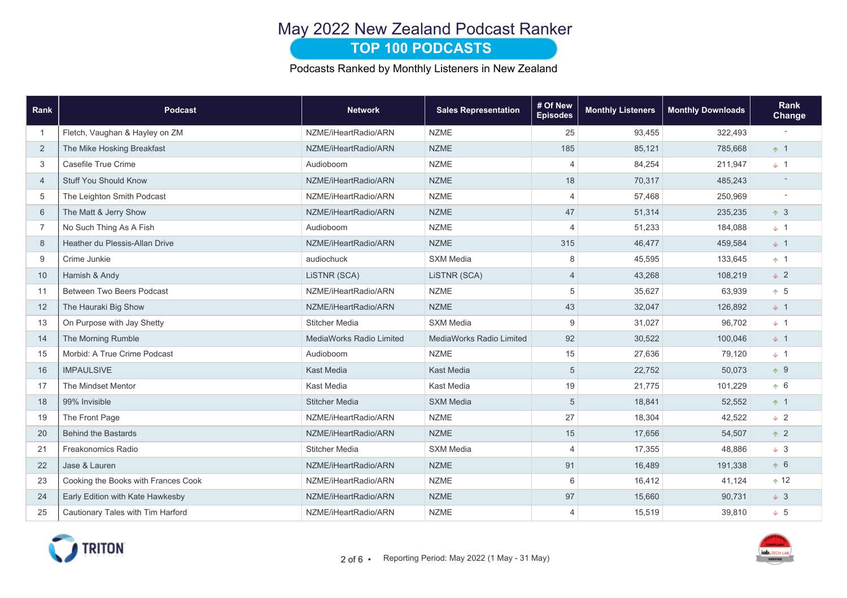# May 2022 New Zealand Podcast Ranker

### **TOP 100 PODCASTS**

Podcasts Ranked by Monthly Listeners in New Zealand

| Rank           | <b>Podcast</b>                      | <b>Network</b>                  | <b>Sales Representation</b> | # Of New<br><b>Episodes</b> | <b>Monthly Listeners</b> | <b>Monthly Downloads</b> | Rank<br>Change |
|----------------|-------------------------------------|---------------------------------|-----------------------------|-----------------------------|--------------------------|--------------------------|----------------|
| $\overline{1}$ | Fletch, Vaughan & Hayley on ZM      | NZME/iHeartRadio/ARN            | <b>NZME</b>                 | 25                          | 93,455                   | 322,493                  |                |
| 2              | The Mike Hosking Breakfast          | NZME/iHeartRadio/ARN            | <b>NZME</b>                 | 185                         | 85,121                   | 785,668                  | $+1$           |
| 3              | Casefile True Crime                 | Audioboom                       | <b>NZME</b>                 | $\overline{4}$              | 84,254                   | 211,947                  | $+1$           |
| $\overline{4}$ | <b>Stuff You Should Know</b>        | NZME/iHeartRadio/ARN            | <b>NZME</b>                 | 18                          | 70,317                   | 485,243                  |                |
| 5              | The Leighton Smith Podcast          | NZME/iHeartRadio/ARN            | <b>NZME</b>                 | $\overline{4}$              | 57,468                   | 250,969                  |                |
| 6              | The Matt & Jerry Show               | NZME/iHeartRadio/ARN            | <b>NZME</b>                 | 47                          | 51,314                   | 235,235                  | $+3$           |
| $\overline{7}$ | No Such Thing As A Fish             | Audioboom                       | <b>NZME</b>                 | $\overline{4}$              | 51,233                   | 184,088                  | $+1$           |
| 8              | Heather du Plessis-Allan Drive      | NZME/iHeartRadio/ARN            | <b>NZME</b>                 | 315                         | 46,477                   | 459,584                  | $+1$           |
| 9              | Crime Junkie                        | audiochuck                      | <b>SXM Media</b>            | 8                           | 45,595                   | 133,645                  | $+1$           |
| 10             | Hamish & Andy                       | LISTNR (SCA)                    | LISTNR (SCA)                | $\overline{4}$              | 43,268                   | 108,219                  | $\downarrow$ 2 |
| 11             | <b>Between Two Beers Podcast</b>    | NZME/iHeartRadio/ARN            | <b>NZME</b>                 | $\sqrt{5}$                  | 35,627                   | 63,939                   | $+5$           |
| 12             | The Hauraki Big Show                | NZME/iHeartRadio/ARN            | <b>NZME</b>                 | 43                          | 32,047                   | 126,892                  | $+1$           |
| 13             | On Purpose with Jay Shetty          | <b>Stitcher Media</b>           | <b>SXM Media</b>            | $9\,$                       | 31,027                   | 96,702                   | $+1$           |
| 14             | The Morning Rumble                  | <b>MediaWorks Radio Limited</b> | MediaWorks Radio Limited    | 92                          | 30,522                   | 100,046                  | $+1$           |
| 15             | Morbid: A True Crime Podcast        | Audioboom                       | <b>NZME</b>                 | 15                          | 27,636                   | 79,120                   | $+1$           |
| 16             | <b>IMPAULSIVE</b>                   | <b>Kast Media</b>               | <b>Kast Media</b>           | $\sqrt{5}$                  | 22,752                   | 50,073                   | $+9$           |
| 17             | The Mindset Mentor                  | Kast Media                      | Kast Media                  | 19                          | 21,775                   | 101,229                  | $\uparrow 6$   |
| 18             | 99% Invisible                       | <b>Stitcher Media</b>           | <b>SXM Media</b>            | $\sqrt{5}$                  | 18,841                   | 52,552                   | $+1$           |
| 19             | The Front Page                      | NZME/iHeartRadio/ARN            | <b>NZME</b>                 | 27                          | 18,304                   | 42,522                   | $\pm$ 2        |
| 20             | <b>Behind the Bastards</b>          | NZME/iHeartRadio/ARN            | <b>NZME</b>                 | 15                          | 17,656                   | 54,507                   | $+2$           |
| 21             | Freakonomics Radio                  | <b>Stitcher Media</b>           | <b>SXM Media</b>            | $\overline{4}$              | 17,355                   | 48,886                   | $+3$           |
| 22             | Jase & Lauren                       | NZME/iHeartRadio/ARN            | <b>NZME</b>                 | 91                          | 16,489                   | 191,338                  | $+6$           |
| 23             | Cooking the Books with Frances Cook | NZME/iHeartRadio/ARN            | <b>NZME</b>                 | 6                           | 16,412                   | 41,124                   | $+12$          |
| 24             | Early Edition with Kate Hawkesby    | NZME/iHeartRadio/ARN            | <b>NZME</b>                 | 97                          | 15,660                   | 90,731                   | $\downarrow$ 3 |
| 25             | Cautionary Tales with Tim Harford   | NZME/iHeartRadio/ARN            | <b>NZME</b>                 | $\overline{4}$              | 15,519                   | 39,810                   | $+ 5$          |

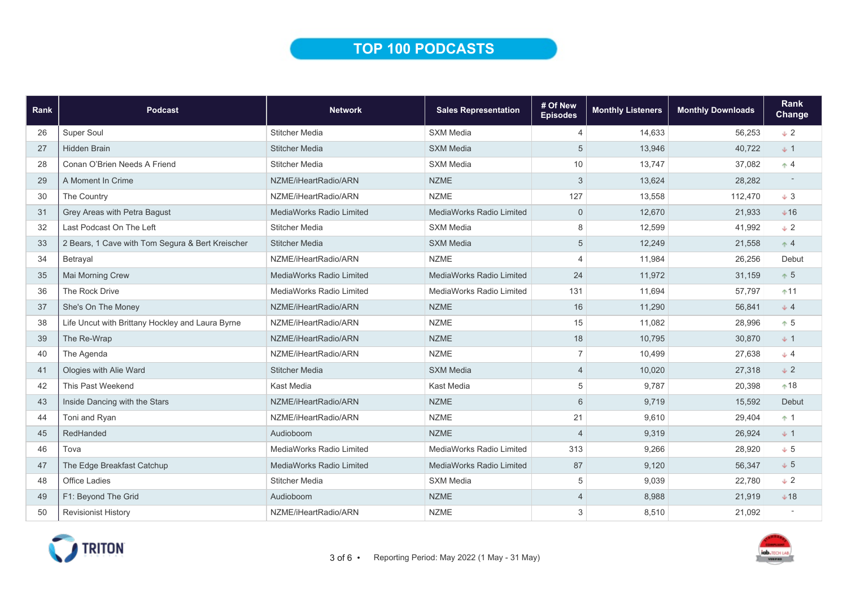## TOP 100 PODCASTS

| Rank | <b>Podcast</b>                                   | <b>Network</b>                  | <b>Sales Representation</b>     | # Of New<br><b>Episodes</b> | <b>Monthly Listeners</b> | <b>Monthly Downloads</b> | <b>Rank</b><br><b>Change</b> |
|------|--------------------------------------------------|---------------------------------|---------------------------------|-----------------------------|--------------------------|--------------------------|------------------------------|
| 26   | Super Soul                                       | <b>Stitcher Media</b>           | <b>SXM Media</b>                | $\overline{4}$              | 14,633                   | 56,253                   | $+2$                         |
| 27   | <b>Hidden Brain</b>                              | <b>Stitcher Media</b>           | <b>SXM Media</b>                | 5                           | 13,946                   | 40,722                   | $+1$                         |
| 28   | Conan O'Brien Needs A Friend                     | <b>Stitcher Media</b>           | <b>SXM Media</b>                | 10                          | 13,747                   | 37,082                   | $+4$                         |
| 29   | A Moment In Crime                                | NZME/iHeartRadio/ARN            | <b>NZME</b>                     | $\ensuremath{\mathsf{3}}$   | 13,624                   | 28,282                   |                              |
| 30   | The Country                                      | NZME/iHeartRadio/ARN            | <b>NZME</b>                     | 127                         | 13,558                   | 112,470                  | $+3$                         |
| 31   | Grey Areas with Petra Bagust                     | <b>MediaWorks Radio Limited</b> | MediaWorks Radio Limited        | $\mathbf 0$                 | 12,670                   | 21,933                   | $+16$                        |
| 32   | Last Podcast On The Left                         | <b>Stitcher Media</b>           | <b>SXM Media</b>                | 8                           | 12,599                   | 41,992                   | $+2$                         |
| 33   | 2 Bears, 1 Cave with Tom Segura & Bert Kreischer | <b>Stitcher Media</b>           | <b>SXM Media</b>                | 5                           | 12,249                   | 21,558                   | $+4$                         |
| 34   | Betrayal                                         | NZME/iHeartRadio/ARN            | <b>NZME</b>                     | 4                           | 11,984                   | 26,256                   | Debut                        |
| 35   | Mai Morning Crew                                 | MediaWorks Radio Limited        | MediaWorks Radio Limited        | 24                          | 11,972                   | 31,159                   | $+5$                         |
| 36   | The Rock Drive                                   | MediaWorks Radio Limited        | MediaWorks Radio Limited        | 131                         | 11,694                   | 57,797                   | $+11$                        |
| 37   | She's On The Money                               | NZME/iHeartRadio/ARN            | <b>NZME</b>                     | 16                          | 11,290                   | 56,841                   | $+4$                         |
| 38   | Life Uncut with Brittany Hockley and Laura Byrne | NZME/iHeartRadio/ARN            | <b>NZME</b>                     | 15                          | 11,082                   | 28,996                   | $+5$                         |
| 39   | The Re-Wrap                                      | NZME/iHeartRadio/ARN            | <b>NZME</b>                     | 18                          | 10,795                   | 30,870                   | $+1$                         |
| 40   | The Agenda                                       | NZME/iHeartRadio/ARN            | <b>NZME</b>                     | $\overline{7}$              | 10.499                   | 27.638                   | $+4$                         |
| 41   | Ologies with Alie Ward                           | <b>Stitcher Media</b>           | <b>SXM Media</b>                | $\overline{4}$              | 10,020                   | 27,318                   | $+2$                         |
| 42   | This Past Weekend                                | Kast Media                      | Kast Media                      | 5                           | 9,787                    | 20,398                   | $*18$                        |
| 43   | Inside Dancing with the Stars                    | NZME/iHeartRadio/ARN            | <b>NZME</b>                     | 6                           | 9,719                    | 15,592                   | Debut                        |
| 44   | Toni and Ryan                                    | NZME/iHeartRadio/ARN            | <b>NZME</b>                     | 21                          | 9,610                    | 29,404                   | $+1$                         |
| 45   | RedHanded                                        | Audioboom                       | <b>NZME</b>                     | $\overline{\mathcal{A}}$    | 9,319                    | 26,924                   | $+1$                         |
| 46   | Tova                                             | MediaWorks Radio Limited        | MediaWorks Radio Limited        | 313                         | 9,266                    | 28,920                   | $+5$                         |
| 47   | The Edge Breakfast Catchup                       | <b>MediaWorks Radio Limited</b> | <b>MediaWorks Radio Limited</b> | 87                          | 9,120                    | 56.347                   | $+5$                         |
| 48   | Office Ladies                                    | <b>Stitcher Media</b>           | <b>SXM Media</b>                | 5                           | 9,039                    | 22,780                   | $+2$                         |
| 49   | F1: Beyond The Grid                              | Audioboom                       | <b>NZME</b>                     | 4                           | 8,988                    | 21,919                   | $+18$                        |
| 50   | <b>Revisionist History</b>                       | NZME/iHeartRadio/ARN            | <b>NZME</b>                     | 3                           | 8,510                    | 21,092                   |                              |

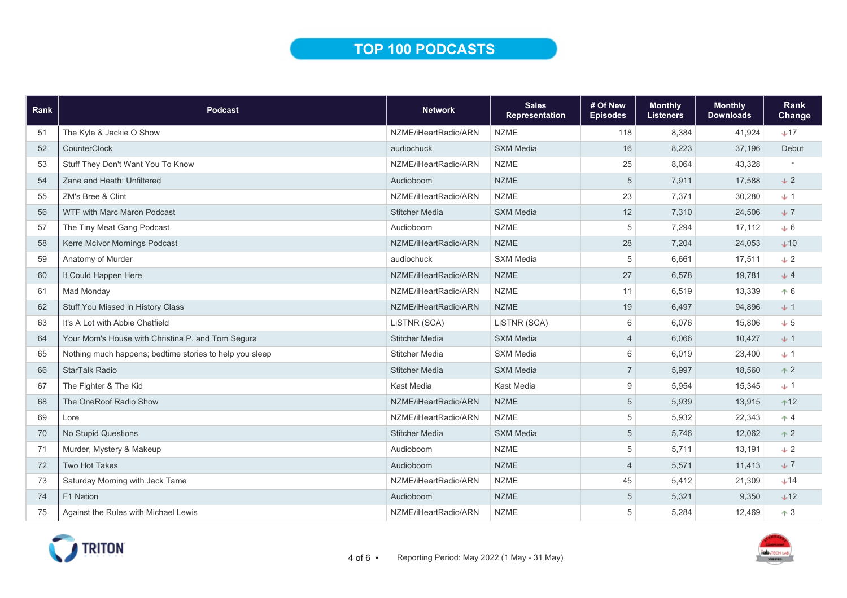# TOP 100 PODCASTS

| Rank | <b>Podcast</b>                                          | <b>Network</b>        | <b>Sales</b><br><b>Representation</b> | # Of New<br><b>Episodes</b> | <b>Monthly</b><br><b>Listeners</b> | <b>Monthly</b><br><b>Downloads</b> | <b>Rank</b><br><b>Change</b> |
|------|---------------------------------------------------------|-----------------------|---------------------------------------|-----------------------------|------------------------------------|------------------------------------|------------------------------|
| 51   | The Kyle & Jackie O Show                                | NZME/iHeartRadio/ARN  | <b>NZME</b>                           | 118                         | 8,384                              | 41,924                             | $+17$                        |
| 52   | <b>CounterClock</b>                                     | audiochuck            | <b>SXM Media</b>                      | 16                          | 8,223                              | 37,196                             | Debut                        |
| 53   | Stuff They Don't Want You To Know                       | NZME/iHeartRadio/ARN  | <b>NZME</b>                           | 25                          | 8,064                              | 43,328                             |                              |
| 54   | Zane and Heath: Unfiltered                              | Audioboom             | <b>NZME</b>                           | 5                           | 7,911                              | 17,588                             | $+2$                         |
| 55   | ZM's Bree & Clint                                       | NZME/iHeartRadio/ARN  | <b>NZME</b>                           | 23                          | 7,371                              | 30,280                             | $+1$                         |
| 56   | WTF with Marc Maron Podcast                             | <b>Stitcher Media</b> | <b>SXM Media</b>                      | 12                          | 7,310                              | 24,506                             | $+7$                         |
| 57   | The Tiny Meat Gang Podcast                              | Audioboom             | <b>NZME</b>                           | 5                           | 7,294                              | 17,112                             | $+6$                         |
| 58   | Kerre McIvor Mornings Podcast                           | NZME/iHeartRadio/ARN  | <b>NZME</b>                           | 28                          | 7,204                              | 24,053                             | $+10$                        |
| 59   | Anatomy of Murder                                       | audiochuck            | <b>SXM Media</b>                      | 5                           | 6,661                              | 17,511                             | $\sqrt{2}$                   |
| 60   | It Could Happen Here                                    | NZME/iHeartRadio/ARN  | <b>NZME</b>                           | 27                          | 6,578                              | 19,781                             | $+4$                         |
| 61   | Mad Monday                                              | NZME/iHeartRadio/ARN  | <b>NZME</b>                           | 11                          | 6,519                              | 13,339                             | $+6$                         |
| 62   | Stuff You Missed in History Class                       | NZME/iHeartRadio/ARN  | <b>NZME</b>                           | 19                          | 6,497                              | 94,896                             | $+1$                         |
| 63   | It's A Lot with Abbie Chatfield                         | LISTNR (SCA)          | LiSTNR (SCA)                          | 6                           | 6,076                              | 15,806                             | $+5$                         |
| 64   | Your Mom's House with Christina P. and Tom Segura       | <b>Stitcher Media</b> | <b>SXM Media</b>                      | $\overline{4}$              | 6,066                              | 10,427                             | $+1$                         |
| 65   | Nothing much happens; bedtime stories to help you sleep | <b>Stitcher Media</b> | <b>SXM Media</b>                      | 6                           | 6,019                              | 23,400                             | $+1$                         |
| 66   | <b>StarTalk Radio</b>                                   | <b>Stitcher Media</b> | <b>SXM Media</b>                      | $\overline{7}$              | 5,997                              | 18,560                             | $+2$                         |
| 67   | The Fighter & The Kid                                   | Kast Media            | Kast Media                            | 9                           | 5,954                              | 15,345                             | $+1$                         |
| 68   | The OneRoof Radio Show                                  | NZME/iHeartRadio/ARN  | <b>NZME</b>                           | 5                           | 5,939                              | 13,915                             | $+12$                        |
| 69   | Lore                                                    | NZME/iHeartRadio/ARN  | <b>NZME</b>                           | 5                           | 5,932                              | 22,343                             | $\uparrow$ 4                 |
| 70   | <b>No Stupid Questions</b>                              | <b>Stitcher Media</b> | <b>SXM Media</b>                      | 5                           | 5,746                              | 12,062                             | $+2$                         |
| 71   | Murder, Mystery & Makeup                                | Audioboom             | <b>NZME</b>                           | 5                           | 5,711                              | 13,191                             | $\downarrow$ 2               |
| 72   | <b>Two Hot Takes</b>                                    | Audioboom             | <b>NZME</b>                           | $\overline{4}$              | 5,571                              | 11,413                             | $\downarrow$ 7               |
| 73   | Saturday Morning with Jack Tame                         | NZME/iHeartRadio/ARN  | <b>NZME</b>                           | 45                          | 5,412                              | 21,309                             | $+14$                        |
| 74   | F1 Nation                                               | Audioboom             | <b>NZME</b>                           | 5                           | 5,321                              | 9,350                              | $+12$                        |
| 75   | Against the Rules with Michael Lewis                    | NZME/iHeartRadio/ARN  | <b>NZME</b>                           | 5                           | 5,284                              | 12,469                             | $\uparrow$ 3                 |

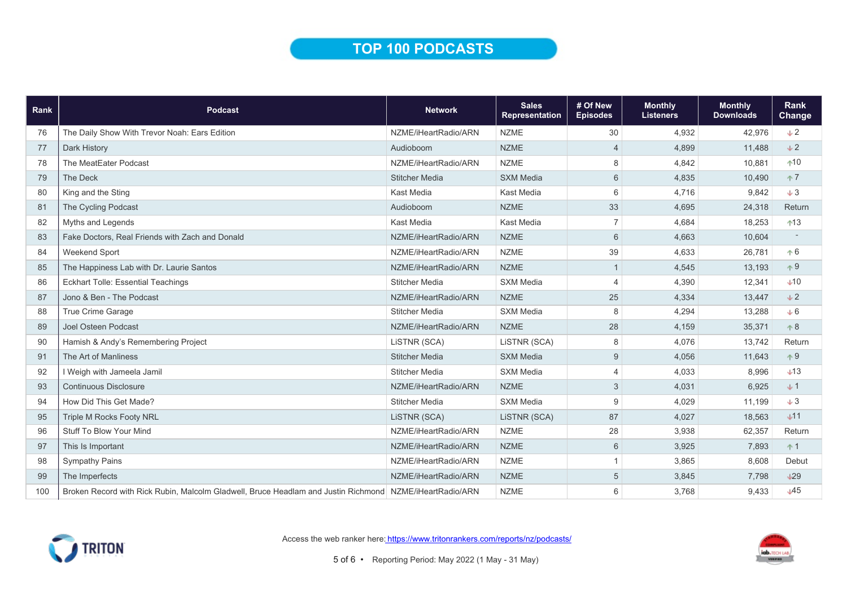## TOP 100 PODCASTS

| Rank | <b>Podcast</b>                                                                                          | <b>Network</b>        | <b>Sales</b><br>Representation | # Of New<br><b>Episodes</b> | <b>Monthly</b><br><b>Listeners</b> | <b>Monthly</b><br><b>Downloads</b> | Rank<br><b>Change</b> |
|------|---------------------------------------------------------------------------------------------------------|-----------------------|--------------------------------|-----------------------------|------------------------------------|------------------------------------|-----------------------|
| 76   | The Daily Show With Trevor Noah: Ears Edition                                                           | NZME/iHeartRadio/ARN  | <b>NZME</b>                    | 30                          | 4.932                              | 42,976                             | $\downarrow$ 2        |
| 77   | Dark History                                                                                            | Audioboom             | <b>NZME</b>                    | $\overline{4}$              | 4,899                              | 11,488                             | $\div 2$              |
| 78   | The MeatEater Podcast                                                                                   | NZME/iHeartRadio/ARN  | <b>NZME</b>                    | 8                           | 4,842                              | 10,881                             | $+10$                 |
| 79   | The Deck                                                                                                | <b>Stitcher Media</b> | <b>SXM Media</b>               | 6                           | 4,835                              | 10,490                             | $+7$                  |
| 80   | King and the Sting                                                                                      | Kast Media            | Kast Media                     | 6                           | 4,716                              | 9,842                              | $+3$                  |
| 81   | The Cycling Podcast                                                                                     | Audioboom             | <b>NZME</b>                    | 33                          | 4,695                              | 24,318                             | Return                |
| 82   | Myths and Legends                                                                                       | Kast Media            | Kast Media                     | $\overline{7}$              | 4.684                              | 18,253                             | ↑13                   |
| 83   | Fake Doctors, Real Friends with Zach and Donald                                                         | NZME/iHeartRadio/ARN  | <b>NZME</b>                    | $6\phantom{1}$              | 4,663                              | 10,604                             |                       |
| 84   | Weekend Sport                                                                                           | NZME/iHeartRadio/ARN  | <b>NZME</b>                    | 39                          | 4,633                              | 26,781                             | $+6$                  |
| 85   | The Happiness Lab with Dr. Laurie Santos                                                                | NZME/iHeartRadio/ARN  | <b>NZME</b>                    | $\mathbf{1}$                | 4,545                              | 13,193                             | $+9$                  |
| 86   | <b>Eckhart Tolle: Essential Teachings</b>                                                               | <b>Stitcher Media</b> | <b>SXM Media</b>               | 4                           | 4,390                              | 12,341                             | $+10$                 |
| 87   | Jono & Ben - The Podcast                                                                                | NZME/iHeartRadio/ARN  | <b>NZME</b>                    | 25                          | 4,334                              | 13,447                             | $\downarrow$ 2        |
| 88   | True Crime Garage                                                                                       | <b>Stitcher Media</b> | <b>SXM Media</b>               | 8                           | 4,294                              | 13,288                             | $+6$                  |
| 89   | Joel Osteen Podcast                                                                                     | NZME/iHeartRadio/ARN  | <b>NZME</b>                    | 28                          | 4,159                              | 35,371                             | $+8$                  |
| 90   | Hamish & Andy's Remembering Project                                                                     | LiSTNR (SCA)          | LiSTNR (SCA)                   | 8                           | 4,076                              | 13,742                             | Return                |
| 91   | The Art of Manliness                                                                                    | <b>Stitcher Media</b> | <b>SXM Media</b>               | $9\,$                       | 4,056                              | 11,643                             | $+9$                  |
| 92   | I Weigh with Jameela Jamil                                                                              | <b>Stitcher Media</b> | <b>SXM Media</b>               | $\overline{4}$              | 4,033                              | 8.996                              | $+13$                 |
| 93   | <b>Continuous Disclosure</b>                                                                            | NZME/iHeartRadio/ARN  | <b>NZME</b>                    | 3                           | 4,031                              | 6,925                              | $+1$                  |
| 94   | How Did This Get Made?                                                                                  | <b>Stitcher Media</b> | <b>SXM Media</b>               | 9                           | 4,029                              | 11,199                             | $+3$                  |
| 95   | <b>Triple M Rocks Footy NRL</b>                                                                         | LiSTNR (SCA)          | LISTNR (SCA)                   | 87                          | 4,027                              | 18,563                             | $+11$                 |
| 96   | <b>Stuff To Blow Your Mind</b>                                                                          | NZME/iHeartRadio/ARN  | <b>NZME</b>                    | 28                          | 3,938                              | 62,357                             | Return                |
| 97   | This Is Important                                                                                       | NZME/iHeartRadio/ARN  | <b>NZME</b>                    | $6\phantom{1}$              | 3,925                              | 7,893                              | $+1$                  |
| 98   | <b>Sympathy Pains</b>                                                                                   | NZME/iHeartRadio/ARN  | <b>NZME</b>                    | $\mathbf{1}$                | 3,865                              | 8,608                              | Debut                 |
| 99   | The Imperfects                                                                                          | NZME/iHeartRadio/ARN  | <b>NZME</b>                    | 5                           | 3,845                              | 7,798                              | $+29$                 |
| 100  | Broken Record with Rick Rubin, Malcolm Gladwell, Bruce Headlam and Justin Richmond NZME/iHeartRadio/ARN |                       | <b>NZME</b>                    | 6                           | 3,768                              | 9,433                              | $\downarrow$ 45       |